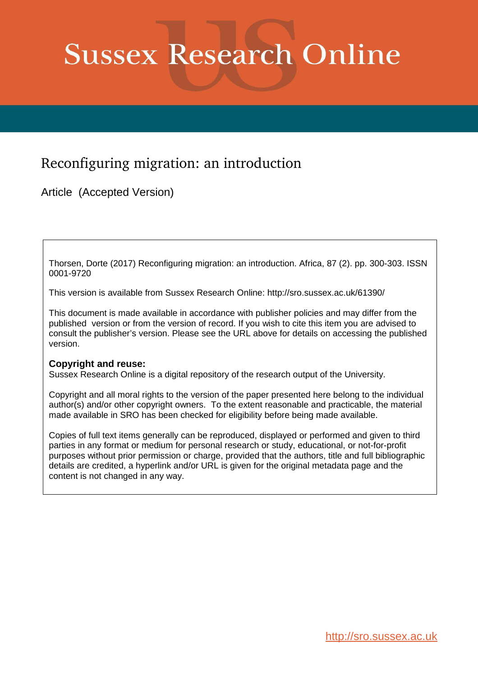# **Sussex Research Online**

# Reconfiguring migration: an introduction

Article (Accepted Version)

Thorsen, Dorte (2017) Reconfiguring migration: an introduction. Africa, 87 (2). pp. 300-303. ISSN 0001-9720

This version is available from Sussex Research Online: http://sro.sussex.ac.uk/61390/

This document is made available in accordance with publisher policies and may differ from the published version or from the version of record. If you wish to cite this item you are advised to consult the publisher's version. Please see the URL above for details on accessing the published version.

## **Copyright and reuse:**

Sussex Research Online is a digital repository of the research output of the University.

Copyright and all moral rights to the version of the paper presented here belong to the individual author(s) and/or other copyright owners. To the extent reasonable and practicable, the material made available in SRO has been checked for eligibility before being made available.

Copies of full text items generally can be reproduced, displayed or performed and given to third parties in any format or medium for personal research or study, educational, or not-for-profit purposes without prior permission or charge, provided that the authors, title and full bibliographic details are credited, a hyperlink and/or URL is given for the original metadata page and the content is not changed in any way.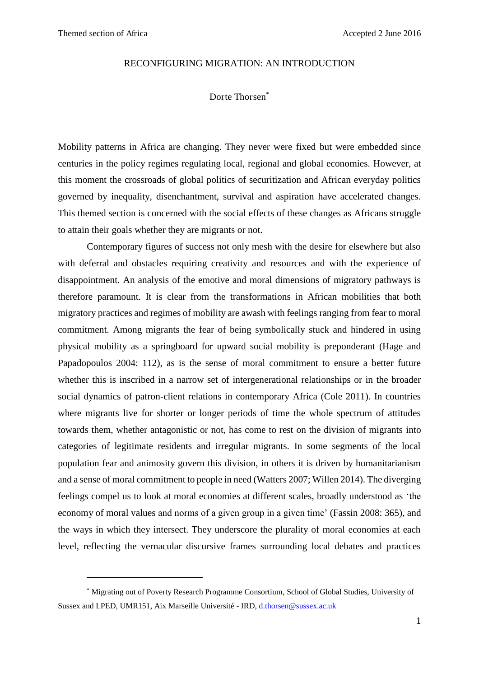<u>.</u>

#### RECONFIGURING MIGRATION: AN INTRODUCTION

### Dorte Thorsen\*

Mobility patterns in Africa are changing. They never were fixed but were embedded since centuries in the policy regimes regulating local, regional and global economies. However, at this moment the crossroads of global politics of securitization and African everyday politics governed by inequality, disenchantment, survival and aspiration have accelerated changes. This themed section is concerned with the social effects of these changes as Africans struggle to attain their goals whether they are migrants or not.

Contemporary figures of success not only mesh with the desire for elsewhere but also with deferral and obstacles requiring creativity and resources and with the experience of disappointment. An analysis of the emotive and moral dimensions of migratory pathways is therefore paramount. It is clear from the transformations in African mobilities that both migratory practices and regimes of mobility are awash with feelings ranging from fear to moral commitment. Among migrants the fear of being symbolically stuck and hindered in using physical mobility as a springboard for upward social mobility is preponderant [\(Hage and](#page-3-0)  [Papadopoulos 2004: 112\)](#page-3-0), as is the sense of moral commitment to ensure a better future whether this is inscribed in a narrow set of intergenerational relationships or in the broader social dynamics of patron-client relations in contemporary Africa [\(Cole 2011\)](https://mail.google.com/mail/u/0/#_ENREF_1). In countries where migrants live for shorter or longer periods of time the whole spectrum of attitudes towards them, whether antagonistic or not, has come to rest on the division of migrants into categories of legitimate residents and irregular migrants. In some segments of the local population fear and animosity govern this division, in others it is driven by humanitarianism and a sense of moral commitment to people in need [\(Watters 2007;](#page-4-0) [Willen 2014\)](#page-4-1). The diverging feelings compel us to look at moral economies at different scales, broadly understood as 'the economy of moral values and norms of a given group in a given time' [\(Fassin 2008: 365\)](#page-3-1), and the ways in which they intersect. They underscore the plurality of moral economies at each level, reflecting the vernacular discursive frames surrounding local debates and practices

<sup>\*</sup> Migrating out of Poverty Research Programme Consortium, School of Global Studies, University of Sussex and LPED, UMR151, Aix Marseille Université - IRD, [d.thorsen@sussex.ac.uk](mailto:d.thorsen@sussex.ac.uk)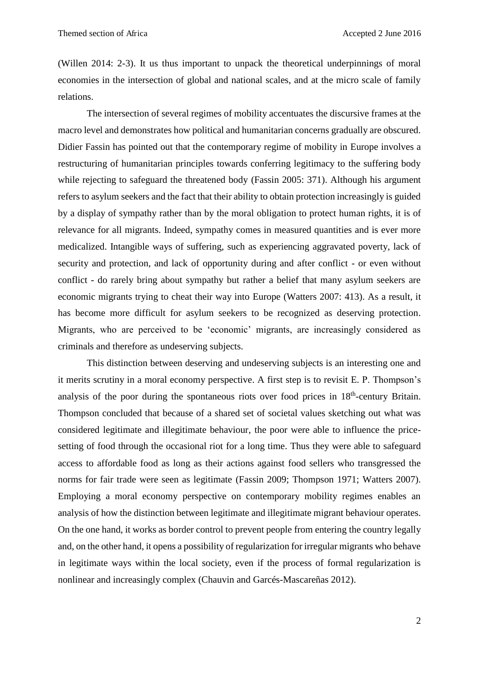[\(Willen 2014: 2-3\)](https://mail.google.com/mail/u/0/#_ENREF_4). It us thus important to unpack the theoretical underpinnings of moral economies in the intersection of global and national scales, and at the micro scale of family relations.

The intersection of several regimes of mobility accentuates the discursive frames at the macro level and demonstrates how political and humanitarian concerns gradually are obscured. Didier Fassin has pointed out that the contemporary regime of mobility in Europe involves a restructuring of humanitarian principles towards conferring legitimacy to the suffering body while rejecting to safeguard the threatened body [\(Fassin 2005: 371\)](#page-3-2). Although his argument refers to asylum seekers and the fact that their ability to obtain protection increasingly is guided by a display of sympathy rather than by the moral obligation to protect human rights, it is of relevance for all migrants. Indeed, sympathy comes in measured quantities and is ever more medicalized. Intangible ways of suffering, such as experiencing aggravated poverty, lack of security and protection, and lack of opportunity during and after conflict - or even without conflict - do rarely bring about sympathy but rather a belief that many asylum seekers are economic migrants trying to cheat their way into Europe [\(Watters 2007: 413\)](#page-4-0). As a result, it has become more difficult for asylum seekers to be recognized as deserving protection. Migrants, who are perceived to be 'economic' migrants, are increasingly considered as criminals and therefore as undeserving subjects.

This distinction between deserving and undeserving subjects is an interesting one and it merits scrutiny in a moral economy perspective. A first step is to revisit E. P. Thompson's analysis of the poor during the spontaneous riots over food prices in 18<sup>th</sup>-century Britain. Thompson concluded that because of a shared set of societal values sketching out what was considered legitimate and illegitimate behaviour, the poor were able to influence the pricesetting of food through the occasional riot for a long time. Thus they were able to safeguard access to affordable food as long as their actions against food sellers who transgressed the norms for fair trade were seen as legitimate [\(Fassin 2009;](#page-3-3) [Thompson 1971;](#page-4-2) [Watters 2007\)](#page-4-0). Employing a moral economy perspective on contemporary mobility regimes enables an analysis of how the distinction between legitimate and illegitimate migrant behaviour operates. On the one hand, it works as border control to prevent people from entering the country legally and, on the other hand, it opens a possibility of regularization for irregular migrants who behave in legitimate ways within the local society, even if the process of formal regularization is nonlinear and increasingly complex [\(Chauvin and Garcés-Mascareñas 2012\)](#page-3-4).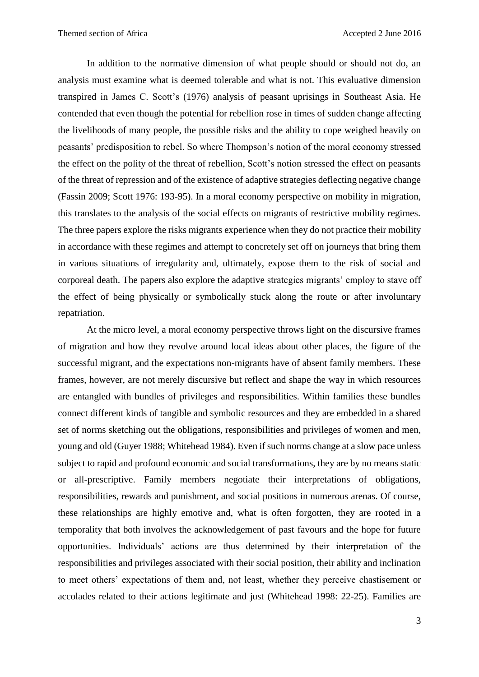In addition to the normative dimension of what people should or should not do, an analysis must examine what is deemed tolerable and what is not. This evaluative dimension transpired in James C. Scott's [\(1976\)](#page-3-5) analysis of peasant uprisings in Southeast Asia. He contended that even though the potential for rebellion rose in times of sudden change affecting the livelihoods of many people, the possible risks and the ability to cope weighed heavily on peasants' predisposition to rebel. So where Thompson's notion of the moral economy stressed the effect on the polity of the threat of rebellion, Scott's notion stressed the effect on peasants of the threat of repression and of the existence of adaptive strategies deflecting negative change [\(Fassin 2009;](#page-3-3) [Scott 1976: 193-95\)](#page-3-5). In a moral economy perspective on mobility in migration, this translates to the analysis of the social effects on migrants of restrictive mobility regimes. The three papers explore the risks migrants experience when they do not practice their mobility in accordance with these regimes and attempt to concretely set off on journeys that bring them in various situations of irregularity and, ultimately, expose them to the risk of social and corporeal death. The papers also explore the adaptive strategies migrants' employ to stave off the effect of being physically or symbolically stuck along the route or after involuntary repatriation.

<span id="page-3-7"></span><span id="page-3-6"></span><span id="page-3-5"></span><span id="page-3-4"></span><span id="page-3-3"></span><span id="page-3-2"></span><span id="page-3-1"></span><span id="page-3-0"></span>At the micro level, a moral economy perspective throws light on the discursive frames of migration and how they revolve around local ideas about other places, the figure of the successful migrant, and the expectations non-migrants have of absent family members. These frames, however, are not merely discursive but reflect and shape the way in which resources are entangled with bundles of privileges and responsibilities. Within families these bundles connect different kinds of tangible and symbolic resources and they are embedded in a shared set of norms sketching out the obligations, responsibilities and privileges of women and men, young and old [\(Guyer 1988;](#page-3-6) [Whitehead 1984\)](#page-4-3). Even if such norms change at a slow pace unless subject to rapid and profound economic and social transformations, they are by no means static or all-prescriptive. Family members negotiate their interpretations of obligations, responsibilities, rewards and punishment, and social positions in numerous arenas. Of course, these relationships are highly emotive and, what is often forgotten, they are rooted in a temporality that both involves the acknowledgement of past favours and the hope for future opportunities. Individuals' actions are thus determined by their interpretation of the responsibilities and privileges associated with their social position, their ability and inclination to meet others' expectations of them and, not least, whether they perceive chastisement or accolades related to their actions legitimate and just [\(Whitehead 1998: 22-25\)](#page-4-4). Families are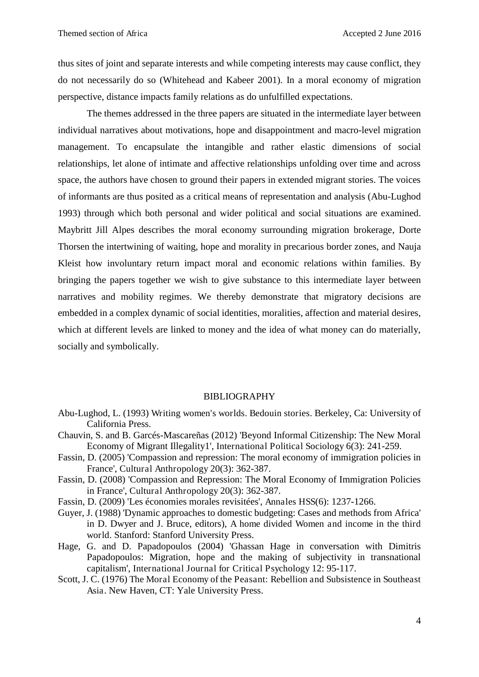<span id="page-4-2"></span><span id="page-4-0"></span>thus sites of joint and separate interests and while competing interests may cause conflict, they do not necessarily do so [\(Whitehead and Kabeer 2001\)](#page-4-5). In a moral economy of migration perspective, distance impacts family relations as do unfulfilled expectations.

<span id="page-4-5"></span><span id="page-4-4"></span><span id="page-4-3"></span><span id="page-4-1"></span>The themes addressed in the three papers are situated in the intermediate layer between individual narratives about motivations, hope and disappointment and macro-level migration management. To encapsulate the intangible and rather elastic dimensions of social relationships, let alone of intimate and affective relationships unfolding over time and across space, the authors have chosen to ground their papers in extended migrant stories. The voices of informants are thus posited as a critical means of representation and analysis [\(Abu-Lughod](#page-3-7)  [1993\)](#page-3-7) through which both personal and wider political and social situations are examined. Maybritt Jill Alpes describes the moral economy surrounding migration brokerage, Dorte Thorsen the intertwining of waiting, hope and morality in precarious border zones, and Nauja Kleist how involuntary return impact moral and economic relations within families. By bringing the papers together we wish to give substance to this intermediate layer between narratives and mobility regimes. We thereby demonstrate that migratory decisions are embedded in a complex dynamic of social identities, moralities, affection and material desires, which at different levels are linked to money and the idea of what money can do materially, socially and symbolically.

#### BIBLIOGRAPHY

- Abu-Lughod, L. (1993) Writing women's worlds. Bedouin stories. Berkeley, Ca: University of California Press.
- Chauvin, S. and B. Garcés-Mascareñas (2012) 'Beyond Informal Citizenship: The New Moral Economy of Migrant Illegality1', International Political Sociology 6(3): 241-259.
- Fassin, D. (2005) 'Compassion and repression: The moral economy of immigration policies in France', Cultural Anthropology 20(3): 362-387.
- Fassin, D. (2008) 'Compassion and Repression: The Moral Economy of Immigration Policies in France', Cultural Anthropology 20(3): 362-387.
- Fassin, D. (2009) 'Les économies morales revisitées', Annales HSS(6): 1237-1266.
- Guyer, J. (1988) 'Dynamic approaches to domestic budgeting: Cases and methods from Africa' in D. Dwyer and J. Bruce, editors), A home divided Women and income in the third world. Stanford: Stanford University Press.
- Hage, G. and D. Papadopoulos (2004) 'Ghassan Hage in conversation with Dimitris Papadopoulos: Migration, hope and the making of subjectivity in transnational capitalism', International Journal for Critical Psychology 12: 95-117.
- Scott, J. C. (1976) The Moral Economy of the Peasant: Rebellion and Subsistence in Southeast Asia. New Haven, CT: Yale University Press.